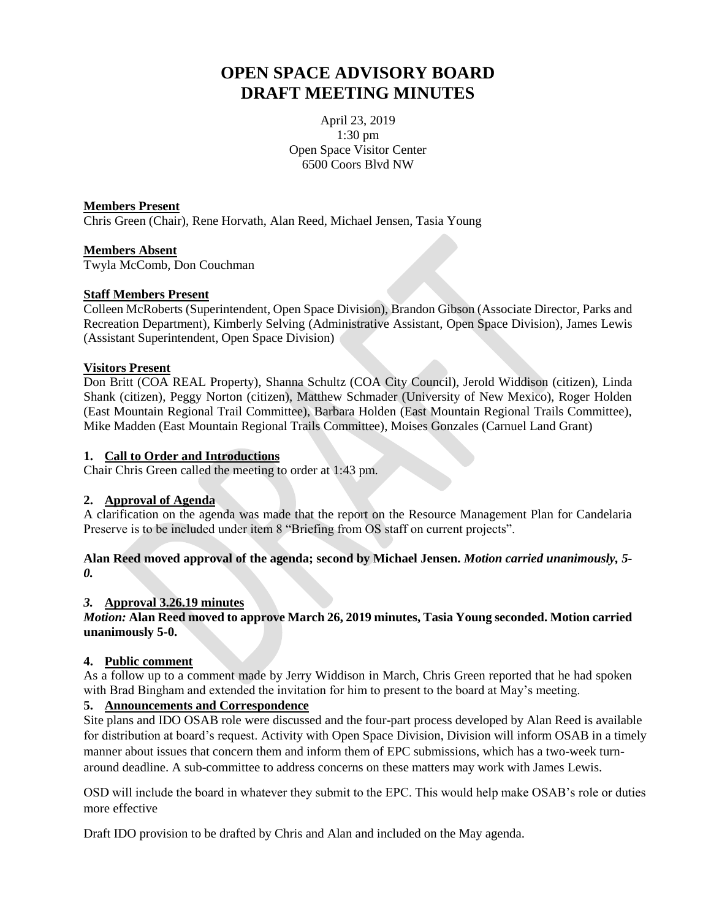# **OPEN SPACE ADVISORY BOARD DRAFT MEETING MINUTES**

April 23, 2019 1:30 pm Open Space Visitor Center 6500 Coors Blvd NW

#### **Members Present**

Chris Green (Chair), Rene Horvath, Alan Reed, Michael Jensen, Tasia Young

#### **Members Absent**

Twyla McComb, Don Couchman

#### **Staff Members Present**

Colleen McRoberts (Superintendent, Open Space Division), Brandon Gibson (Associate Director, Parks and Recreation Department), Kimberly Selving (Administrative Assistant, Open Space Division), James Lewis (Assistant Superintendent, Open Space Division)

#### **Visitors Present**

Don Britt (COA REAL Property), Shanna Schultz (COA City Council), Jerold Widdison (citizen), Linda Shank (citizen), Peggy Norton (citizen), Matthew Schmader (University of New Mexico), Roger Holden (East Mountain Regional Trail Committee), Barbara Holden (East Mountain Regional Trails Committee), Mike Madden (East Mountain Regional Trails Committee), Moises Gonzales (Carnuel Land Grant)

#### **1. Call to Order and Introductions**

Chair Chris Green called the meeting to order at 1:43 pm.

#### **2. Approval of Agenda**

A clarification on the agenda was made that the report on the Resource Management Plan for Candelaria Preserve is to be included under item 8 "Briefing from OS staff on current projects".

**Alan Reed moved approval of the agenda; second by Michael Jensen.** *Motion carried unanimously, 5- 0.*

#### *3.* **Approval 3.26.19 minutes**

*Motion:* **Alan Reed moved to approve March 26, 2019 minutes, Tasia Young seconded. Motion carried unanimously 5-0.**

#### **4. Public comment**

As a follow up to a comment made by Jerry Widdison in March, Chris Green reported that he had spoken with Brad Bingham and extended the invitation for him to present to the board at May's meeting.

#### **5. Announcements and Correspondence**

Site plans and IDO OSAB role were discussed and the four-part process developed by Alan Reed is available for distribution at board's request. Activity with Open Space Division, Division will inform OSAB in a timely manner about issues that concern them and inform them of EPC submissions, which has a two-week turnaround deadline. A sub-committee to address concerns on these matters may work with James Lewis.

OSD will include the board in whatever they submit to the EPC. This would help make OSAB's role or duties more effective

Draft IDO provision to be drafted by Chris and Alan and included on the May agenda.